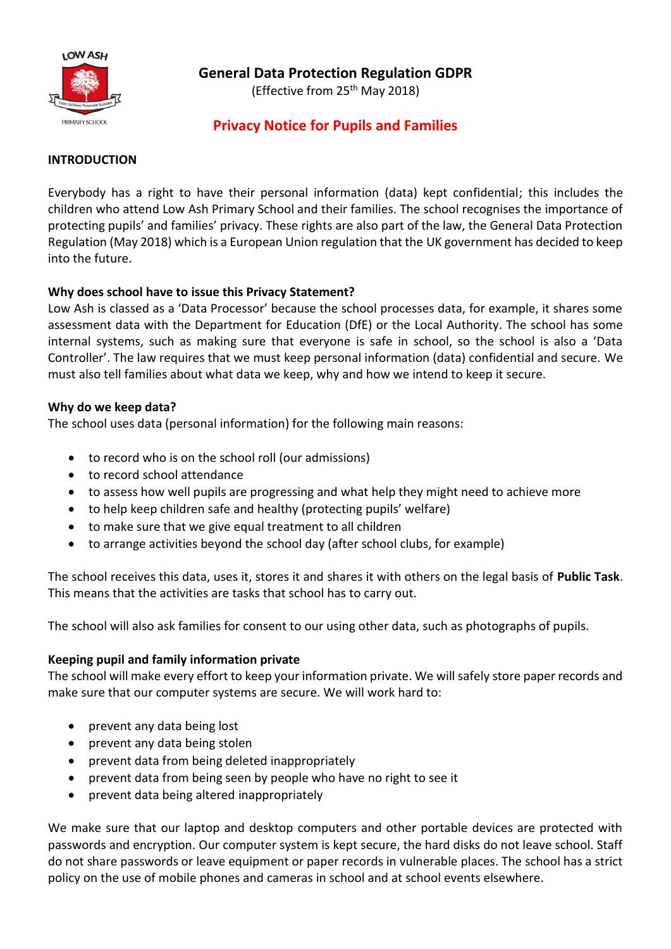

# **General Data Protection Regulation GDPR**

(Effective from 25th May 2018)

## **Privacy Notice for Pupils and Families**

#### **INTRODUCTION**

Everybody has a right to have their personal information (data) kept confidential; this includes the children who attend Low Ash Primary School and their families. The school recognises the importance of protecting pupils' and families' privacy. These rights are also part of the law, the General Data Protection Regulation (May 2018) which is a European Union regulation that the UK government has decided to keep into the future.

### **Why does school have to issue this Privacy Statement?**

Low Ash is classed as a 'Data Processor' because the school processes data, for example, it shares some assessment data with the Department for Education (DfE) or the Local Authority. The school has some internal systems, such as making sure that everyone is safe in school, so the school is also a 'Data Controller'. The law requires that we must keep personal information (data) confidential and secure. We must also tell families about what data we keep, why and how we intend to keep it secure.

### **Why do we keep data?**

The school uses data (personal information) for the following main reasons:

- to record who is on the school roll (our admissions)
- to record school attendance
- to assess how well pupils are progressing and what help they might need to achieve more
- to help keep children safe and healthy (protecting pupils' welfare)
- to make sure that we give equal treatment to all children
- to arrange activities beyond the school day (after school clubs, for example)

The school receives this data, uses it, stores it and shares it with others on the legal basis of **Public Task**. This means that the activities are tasks that school has to carry out.

The school will also ask families for consent to our using other data, such as photographs of pupils.

### **Keeping pupil and family information private**

The school will make every effort to keep your information private. We will safely store paper records and make sure that our computer systems are secure. We will work hard to:

- prevent any data being lost
- prevent any data being stolen
- prevent data from being deleted inappropriately
- prevent data from being seen by people who have no right to see it
- prevent data being altered inappropriately

We make sure that our laptop and desktop computers and other portable devices are protected with passwords and encryption. Our computer system is kept secure, the hard disks do not leave school. Staff do not share passwords or leave equipment or paper records in vulnerable places. The school has a strict policy on the use of mobile phones and cameras in school and at school events elsewhere.